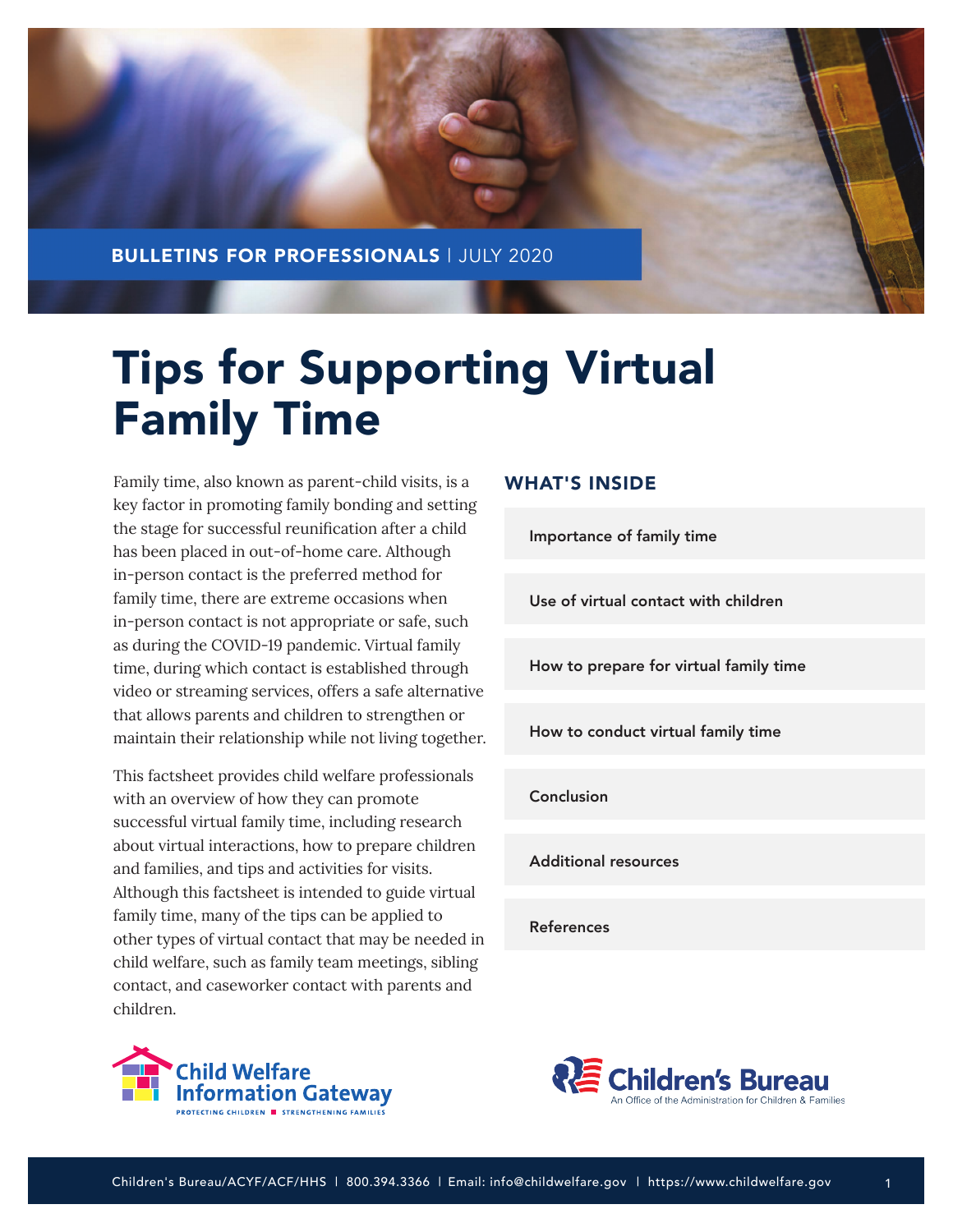

# Tips for Supporting Virtual Family Time

Family time, also known as parent-child visits, is a key factor in promoting family bonding and setting the stage for successful reunification after a child has been placed in out-of-home care. Although in-person contact is the preferred method for family time, there are extreme occasions when in-person contact is not appropriate or safe, such as during the COVID-19 pandemic. Virtual family time, during which contact is established through video or streaming services, offers a safe alternative that allows parents and children to strengthen or maintain their relationship while not living together.

This factsheet provides child welfare professionals with an overview of how they can promote successful virtual family time, including research about virtual interactions, how to prepare children and families, and tips and activities for visits. Although this factsheet is intended to guide virtual family time, many of the tips can be applied to other types of virtual contact that may be needed in child welfare, such as family team meetings, sibling contact, and caseworker contact with parents and children.



# WHAT'S INSIDE

[Importance of family time](#page-1-0)

[Use of virtual contact with children](#page-1-0)

[How to prepare for virtual family time](#page-1-0)

[How to conduct virtual family time](#page-5-0)

[Conclusion](#page-7-0)

[Additional resources](#page-8-0)

[References](#page-8-0)



1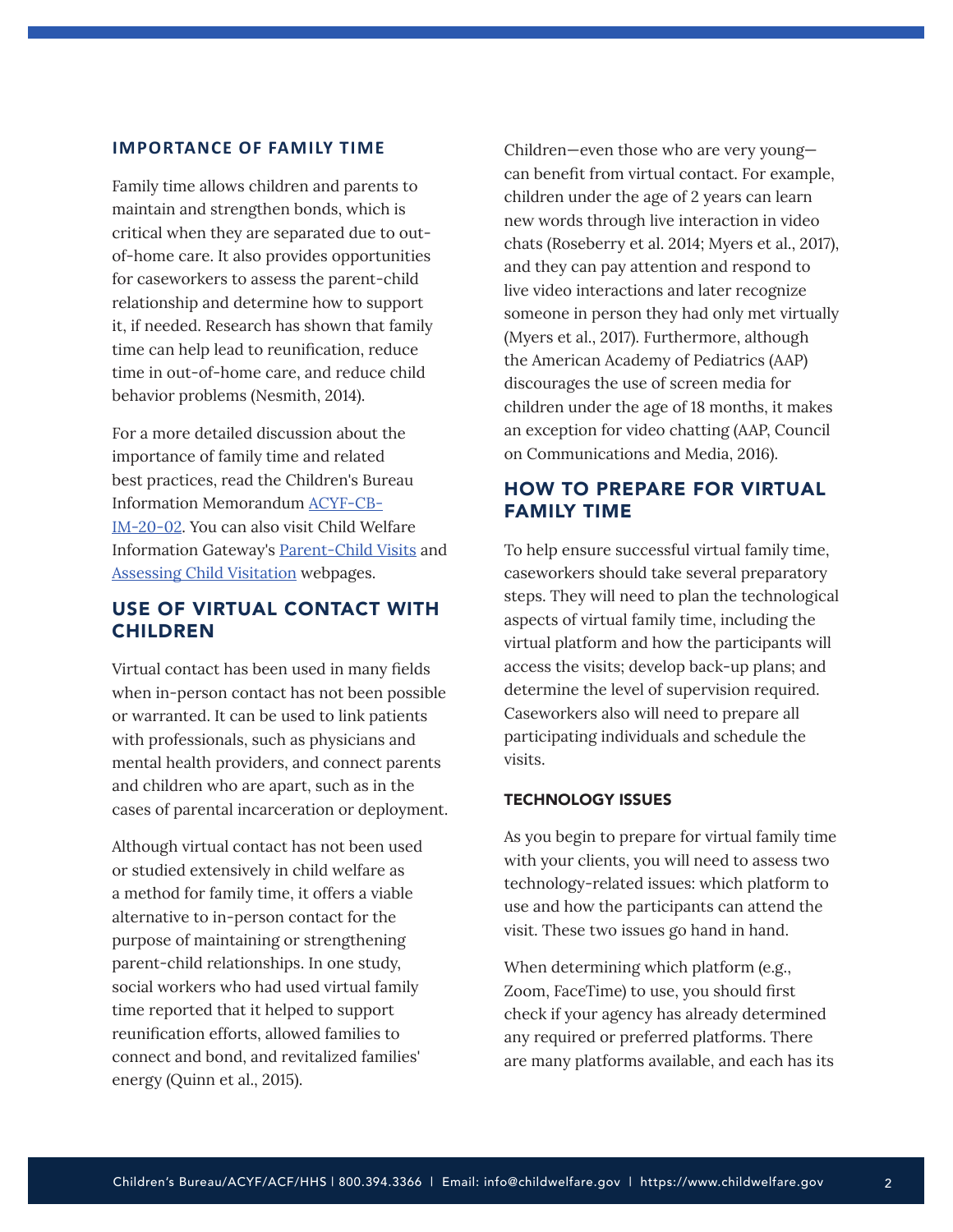## <span id="page-1-0"></span>**IMPORTANCE OF FAMILY TIME**

Family time allows children and parents to maintain and strengthen bonds, which is critical when they are separated due to outof-home care. It also provides opportunities for caseworkers to assess the parent-child relationship and determine how to support it, if needed. Research has shown that family time can help lead to reunification, reduce time in out-of-home care, and reduce child behavior problems (Nesmith, 2014).

For a more detailed discussion about the importance of family time and related best practices, read the Children's Bureau Information Memorandum [ACYF-CB-](https://www.acf.hhs.gov/cb/resource/im2002)[IM-20-02.](https://www.acf.hhs.gov/cb/resource/im2002) You can also visit Child Welfare Information Gateway's [Parent-Child Visits](https://www.childwelfare.gov/topics/outofhome/casework/parentvisits/) and [Assessing Child Visitation](https://www.childwelfare.gov/topics/systemwide/assessment/family-assess/progress/visitation/) webpages.

# USE OF VIRTUAL CONTACT WITH CHILDREN

Virtual contact has been used in many fields when in-person contact has not been possible or warranted. It can be used to link patients with professionals, such as physicians and mental health providers, and connect parents and children who are apart, such as in the cases of parental incarceration or deployment.

Although virtual contact has not been used or studied extensively in child welfare as a method for family time, it offers a viable alternative to in-person contact for the purpose of maintaining or strengthening parent-child relationships. In one study, social workers who had used virtual family time reported that it helped to support reunification efforts, allowed families to connect and bond, and revitalized families' energy (Quinn et al., 2015).

Children—even those who are very young can benefit from virtual contact. For example, children under the age of 2 years can learn new words through live interaction in video chats (Roseberry et al. 2014; Myers et al., 2017), and they can pay attention and respond to live video interactions and later recognize someone in person they had only met virtually (Myers et al., 2017). Furthermore, although the American Academy of Pediatrics (AAP) discourages the use of screen media for children under the age of 18 months, it makes an exception for video chatting (AAP, Council on Communications and Media, 2016).

# HOW TO PREPARE FOR VIRTUAL FAMILY TIME

To help ensure successful virtual family time, caseworkers should take several preparatory steps. They will need to plan the technological aspects of virtual family time, including the virtual platform and how the participants will access the visits; develop back-up plans; and determine the level of supervision required. Caseworkers also will need to prepare all participating individuals and schedule the visits.

## TECHNOLOGY ISSUES

As you begin to prepare for virtual family time with your clients, you will need to assess two technology-related issues: which platform to use and how the participants can attend the visit. These two issues go hand in hand.

When determining which platform (e.g., Zoom, FaceTime) to use, you should first check if your agency has already determined any required or preferred platforms. There are many platforms available, and each has its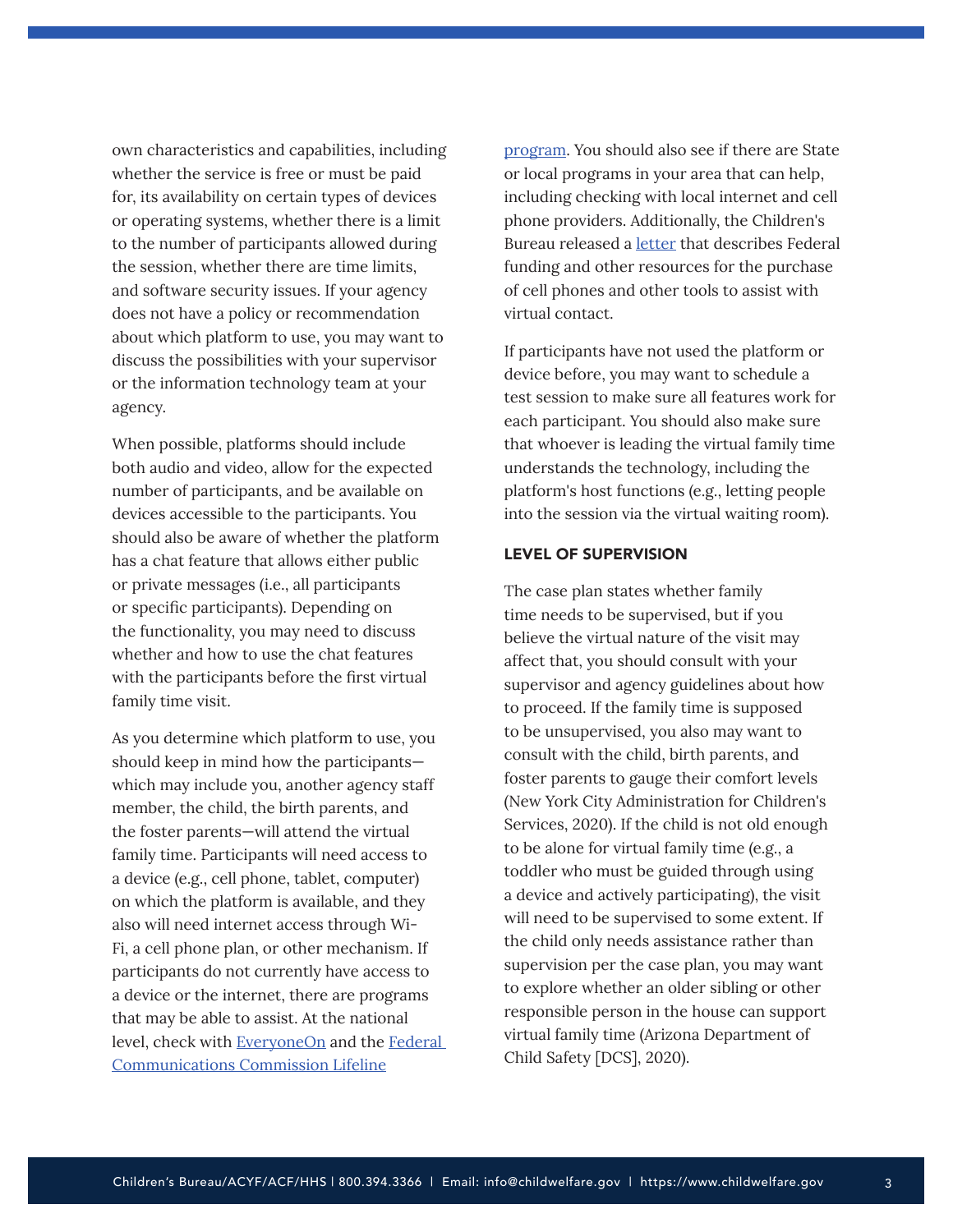own characteristics and capabilities, including whether the service is free or must be paid for, its availability on certain types of devices or operating systems, whether there is a limit to the number of participants allowed during the session, whether there are time limits, and software security issues. If your agency does not have a policy or recommendation about which platform to use, you may want to discuss the possibilities with your supervisor or the information technology team at your agency.

When possible, platforms should include both audio and video, allow for the expected number of participants, and be available on devices accessible to the participants. You should also be aware of whether the platform has a chat feature that allows either public or private messages (i.e., all participants or specific participants). Depending on the functionality, you may need to discuss whether and how to use the chat features with the participants before the first virtual family time visit.

As you determine which platform to use, you should keep in mind how the participants which may include you, another agency staff member, the child, the birth parents, and the foster parents—will attend the virtual family time. Participants will need access to a device (e.g., cell phone, tablet, computer) on which the platform is available, and they also will need internet access through Wi-Fi, a cell phone plan, or other mechanism. If participants do not currently have access to a device or the internet, there are programs that may be able to assist. At the national level, check with **[EveryoneOn](https://www.everyoneon.org/)** and the **Federal** [Communications Commission Lifeline](https://www.fcc.gov/general/lifeline-program-low-income-consumers)

[program.](https://www.fcc.gov/general/lifeline-program-low-income-consumers) You should also see if there are State or local programs in your area that can help, including checking with local internet and cell phone providers. Additionally, the Children's Bureau released a **[letter](https://www.acf.hhs.gov/cb/resource/letter-federal-funds)** that describes Federal funding and other resources for the purchase of cell phones and other tools to assist with virtual contact.

If participants have not used the platform or device before, you may want to schedule a test session to make sure all features work for each participant. You should also make sure that whoever is leading the virtual family time understands the technology, including the platform's host functions (e.g., letting people into the session via the virtual waiting room).

#### LEVEL OF SUPERVISION

The case plan states whether family time needs to be supervised, but if you believe the virtual nature of the visit may affect that, you should consult with your supervisor and agency guidelines about how to proceed. If the family time is supposed to be unsupervised, you also may want to consult with the child, birth parents, and foster parents to gauge their comfort levels (New York City Administration for Children's Services, 2020). If the child is not old enough to be alone for virtual family time (e.g., a toddler who must be guided through using a device and actively participating), the visit will need to be supervised to some extent. If the child only needs assistance rather than supervision per the case plan, you may want to explore whether an older sibling or other responsible person in the house can support virtual family time (Arizona Department of Child Safety [DCS], 2020).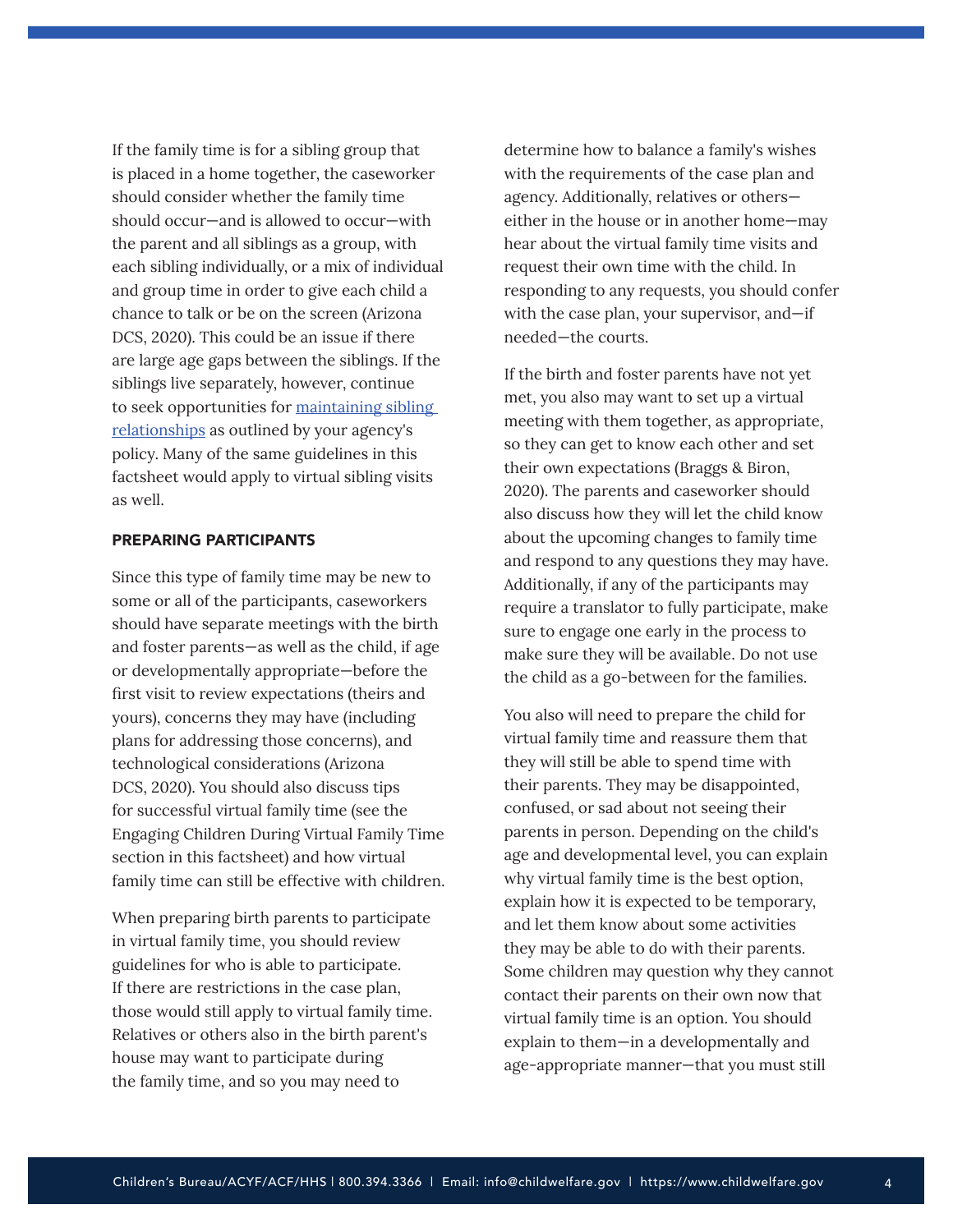If the family time is for a sibling group that is placed in a home together, the caseworker should consider whether the family time should occur—and is allowed to occur—with the parent and all siblings as a group, with each sibling individually, or a mix of individual and group time in order to give each child a chance to talk or be on the screen (Arizona DCS, 2020). This could be an issue if there are large age gaps between the siblings. If the siblings live separately, however, continue to seek opportunities for [maintaining sibling](https://www.childwelfare.gov/pubs/siblingissues/)  [relationships](https://www.childwelfare.gov/pubs/siblingissues/) as outlined by your agency's policy. Many of the same guidelines in this factsheet would apply to virtual sibling visits as well.

## PREPARING PARTICIPANTS

Since this type of family time may be new to some or all of the participants, caseworkers should have separate meetings with the birth and foster parents—as well as the child, if age or developmentally appropriate—before the first visit to review expectations (theirs and yours), concerns they may have (including plans for addressing those concerns), and technological considerations (Arizona DCS, 2020). You should also discuss tips for successful virtual family time (see the Engaging Children During Virtual Family Time section in this factsheet) and how virtual family time can still be effective with children.

When preparing birth parents to participate in virtual family time, you should review guidelines for who is able to participate. If there are restrictions in the case plan, those would still apply to virtual family time. Relatives or others also in the birth parent's house may want to participate during the family time, and so you may need to

determine how to balance a family's wishes with the requirements of the case plan and agency. Additionally, relatives or others either in the house or in another home—may hear about the virtual family time visits and request their own time with the child. In responding to any requests, you should confer with the case plan, your supervisor, and—if needed—the courts.

If the birth and foster parents have not yet met, you also may want to set up a virtual meeting with them together, as appropriate, so they can get to know each other and set their own expectations (Braggs & Biron, 2020). The parents and caseworker should also discuss how they will let the child know about the upcoming changes to family time and respond to any questions they may have. Additionally, if any of the participants may require a translator to fully participate, make sure to engage one early in the process to make sure they will be available. Do not use the child as a go-between for the families.

You also will need to prepare the child for virtual family time and reassure them that they will still be able to spend time with their parents. They may be disappointed, confused, or sad about not seeing their parents in person. Depending on the child's age and developmental level, you can explain why virtual family time is the best option, explain how it is expected to be temporary, and let them know about some activities they may be able to do with their parents. Some children may question why they cannot contact their parents on their own now that virtual family time is an option. You should explain to them—in a developmentally and age-appropriate manner—that you must still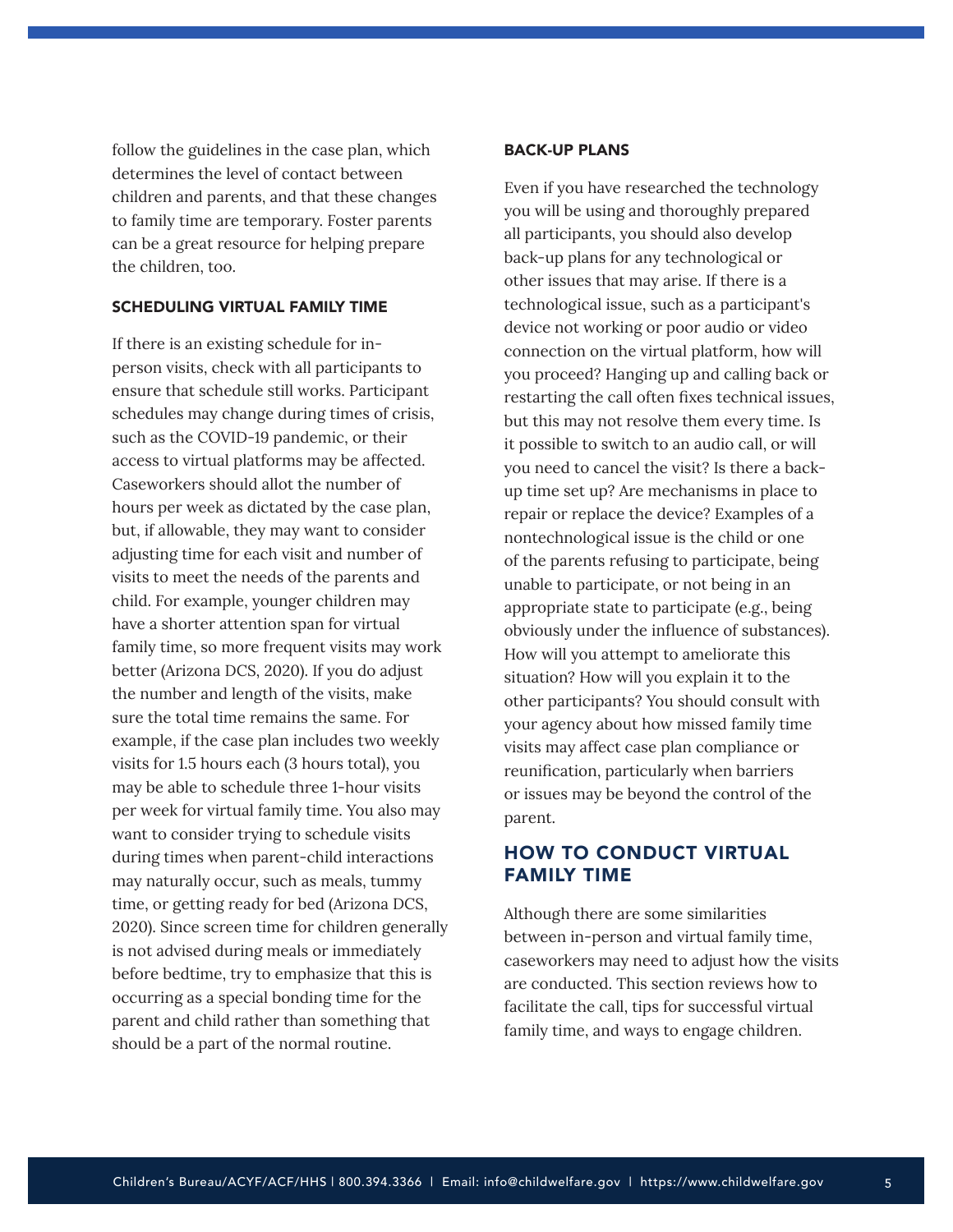follow the guidelines in the case plan, which determines the level of contact between children and parents, and that these changes to family time are temporary. Foster parents can be a great resource for helping prepare the children, too.

## SCHEDULING VIRTUAL FAMILY TIME

If there is an existing schedule for inperson visits, check with all participants to ensure that schedule still works. Participant schedules may change during times of crisis, such as the COVID-19 pandemic, or their access to virtual platforms may be affected. Caseworkers should allot the number of hours per week as dictated by the case plan, but, if allowable, they may want to consider adjusting time for each visit and number of visits to meet the needs of the parents and child. For example, younger children may have a shorter attention span for virtual family time, so more frequent visits may work better (Arizona DCS, 2020). If you do adjust the number and length of the visits, make sure the total time remains the same. For example, if the case plan includes two weekly visits for 1.5 hours each (3 hours total), you may be able to schedule three 1-hour visits per week for virtual family time. You also may want to consider trying to schedule visits during times when parent-child interactions may naturally occur, such as meals, tummy time, or getting ready for bed (Arizona DCS, 2020). Since screen time for children generally is not advised during meals or immediately before bedtime, try to emphasize that this is occurring as a special bonding time for the parent and child rather than something that should be a part of the normal routine.

#### BACK-UP PLANS

Even if you have researched the technology you will be using and thoroughly prepared all participants, you should also develop back-up plans for any technological or other issues that may arise. If there is a technological issue, such as a participant's device not working or poor audio or video connection on the virtual platform, how will you proceed? Hanging up and calling back or restarting the call often fixes technical issues, but this may not resolve them every time. Is it possible to switch to an audio call, or will you need to cancel the visit? Is there a backup time set up? Are mechanisms in place to repair or replace the device? Examples of a nontechnological issue is the child or one of the parents refusing to participate, being unable to participate, or not being in an appropriate state to participate (e.g., being obviously under the influence of substances). How will you attempt to ameliorate this situation? How will you explain it to the other participants? You should consult with your agency about how missed family time visits may affect case plan compliance or reunification, particularly when barriers or issues may be beyond the control of the parent.

# HOW TO CONDUCT VIRTUAL FAMILY TIME

Although there are some similarities between in-person and virtual family time, caseworkers may need to adjust how the visits are conducted. This section reviews how to facilitate the call, tips for successful virtual family time, and ways to engage children.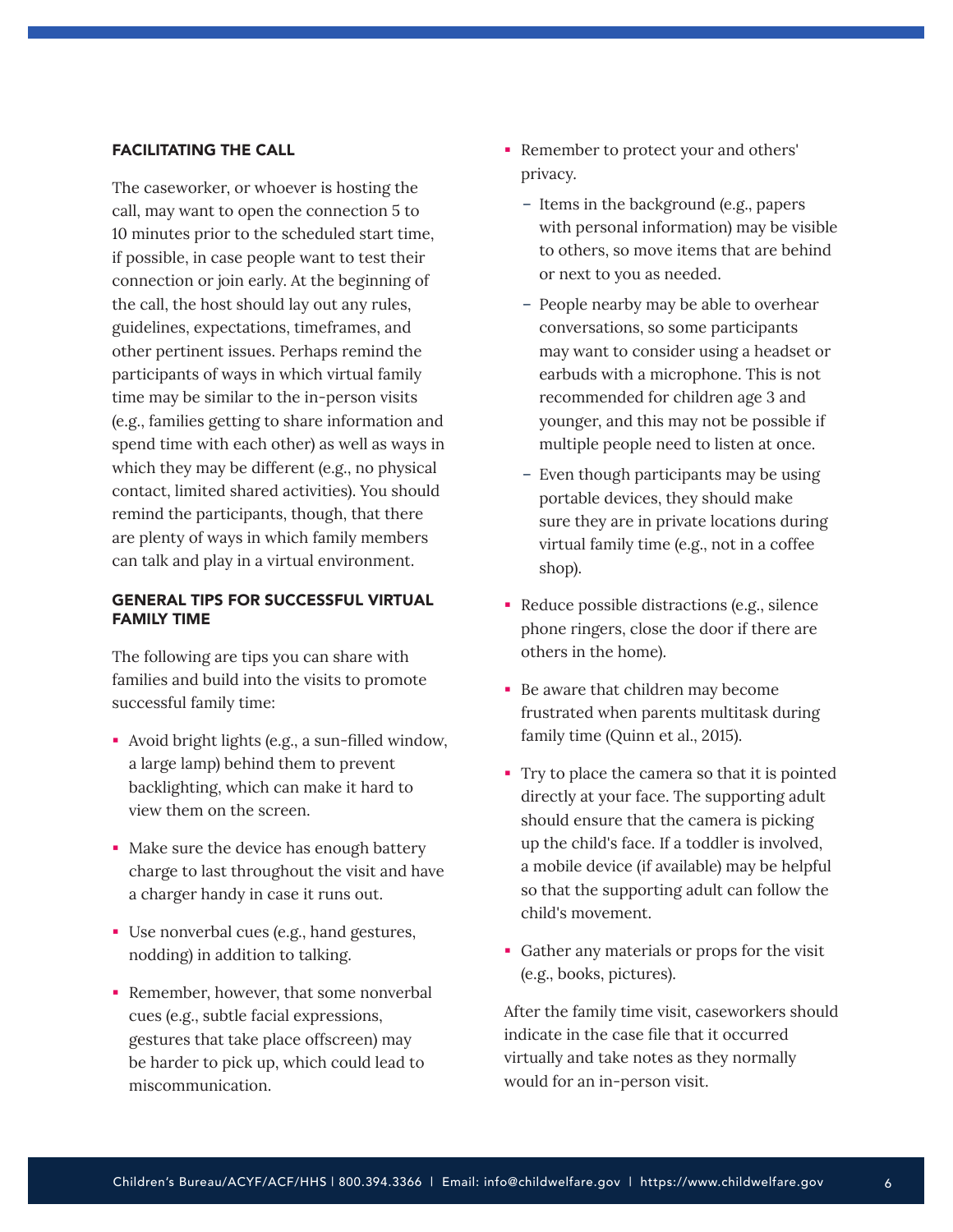## <span id="page-5-0"></span>FACILITATING THE CALL

The caseworker, or whoever is hosting the call, may want to open the connection 5 to 10 minutes prior to the scheduled start time, if possible, in case people want to test their connection or join early. At the beginning of the call, the host should lay out any rules, guidelines, expectations, timeframes, and other pertinent issues. Perhaps remind the participants of ways in which virtual family time may be similar to the in-person visits (e.g., families getting to share information and spend time with each other) as well as ways in which they may be different (e.g., no physical contact, limited shared activities). You should remind the participants, though, that there are plenty of ways in which family members can talk and play in a virtual environment.

## GENERAL TIPS FOR SUCCESSFUL VIRTUAL FAMILY TIME

The following are tips you can share with families and build into the visits to promote successful family time:

- Avoid bright lights (e.g., a sun-filled window, a large lamp) behind them to prevent backlighting, which can make it hard to view them on the screen.
- Make sure the device has enough battery charge to last throughout the visit and have a charger handy in case it runs out.
- Use nonverbal cues (e.g., hand gestures, nodding) in addition to talking.
- Remember, however, that some nonverbal cues (e.g., subtle facial expressions, gestures that take place offscreen) may be harder to pick up, which could lead to miscommunication.
- Remember to protect your and others' privacy.
	- Items in the background (e.g., papers with personal information) may be visible to others, so move items that are behind or next to you as needed.
	- People nearby may be able to overhear conversations, so some participants may want to consider using a headset or earbuds with a microphone. This is not recommended for children age 3 and younger, and this may not be possible if multiple people need to listen at once.
	- Even though participants may be using portable devices, they should make sure they are in private locations during virtual family time (e.g., not in a coffee shop).
- Reduce possible distractions (e.g., silence phone ringers, close the door if there are others in the home).
- Be aware that children may become frustrated when parents multitask during family time (Quinn et al., 2015).
- Try to place the camera so that it is pointed directly at your face. The supporting adult should ensure that the camera is picking up the child's face. If a toddler is involved, a mobile device (if available) may be helpful so that the supporting adult can follow the child's movement.
- Gather any materials or props for the visit (e.g., books, pictures).

After the family time visit, caseworkers should indicate in the case file that it occurred virtually and take notes as they normally would for an in-person visit.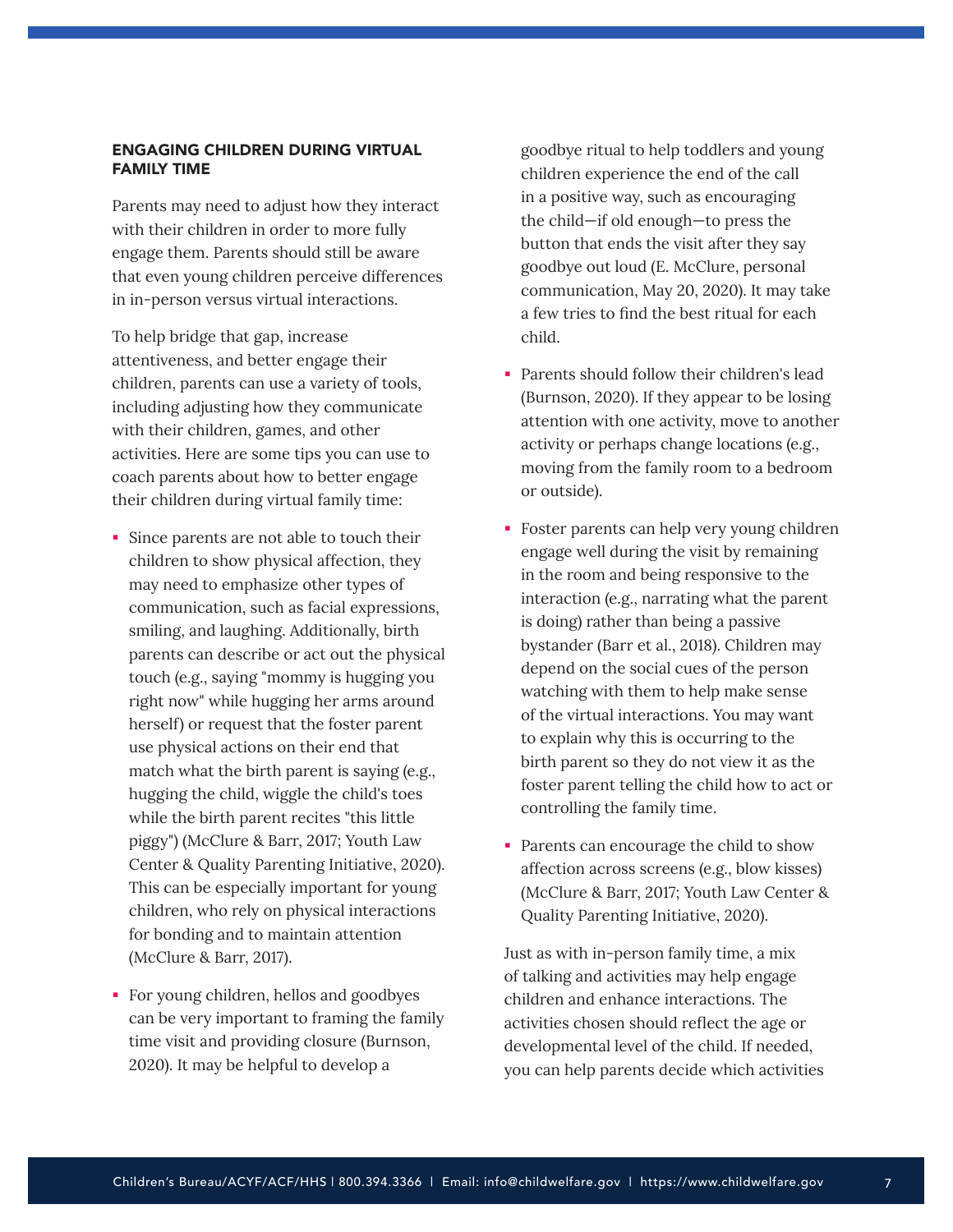## ENGAGING CHILDREN DURING VIRTUAL FAMILY TIME

Parents may need to adjust how they interact with their children in order to more fully engage them. Parents should still be aware that even young children perceive differences in in-person versus virtual interactions.

To help bridge that gap, increase attentiveness, and better engage their children, parents can use a variety of tools, including adjusting how they communicate with their children, games, and other activities. Here are some tips you can use to coach parents about how to better engage their children during virtual family time:

- Since parents are not able to touch their children to show physical affection, they may need to emphasize other types of communication, such as facial expressions, smiling, and laughing. Additionally, birth parents can describe or act out the physical touch (e.g., saying "mommy is hugging you right now" while hugging her arms around herself) or request that the foster parent use physical actions on their end that match what the birth parent is saying (e.g., hugging the child, wiggle the child's toes while the birth parent recites "this little piggy") (McClure & Barr, 2017; Youth Law Center & Quality Parenting Initiative, 2020). This can be especially important for young children, who rely on physical interactions for bonding and to maintain attention (McClure & Barr, 2017).
- For young children, hellos and goodbyes can be very important to framing the family time visit and providing closure (Burnson, 2020). It may be helpful to develop a

goodbye ritual to help toddlers and young children experience the end of the call in a positive way, such as encouraging the child—if old enough—to press the button that ends the visit after they say goodbye out loud (E. McClure, personal communication, May 20, 2020). It may take a few tries to find the best ritual for each child.

- **Parents should follow their children's lead** (Burnson, 2020). If they appear to be losing attention with one activity, move to another activity or perhaps change locations (e.g., moving from the family room to a bedroom or outside).
- Foster parents can help very young children engage well during the visit by remaining in the room and being responsive to the interaction (e.g., narrating what the parent is doing) rather than being a passive bystander (Barr et al., 2018). Children may depend on the social cues of the person watching with them to help make sense of the virtual interactions. You may want to explain why this is occurring to the birth parent so they do not view it as the foster parent telling the child how to act or controlling the family time.
- Parents can encourage the child to show affection across screens (e.g., blow kisses) (McClure & Barr, 2017; Youth Law Center & Quality Parenting Initiative, 2020).

Just as with in-person family time, a mix of talking and activities may help engage children and enhance interactions. The activities chosen should reflect the age or developmental level of the child. If needed, you can help parents decide which activities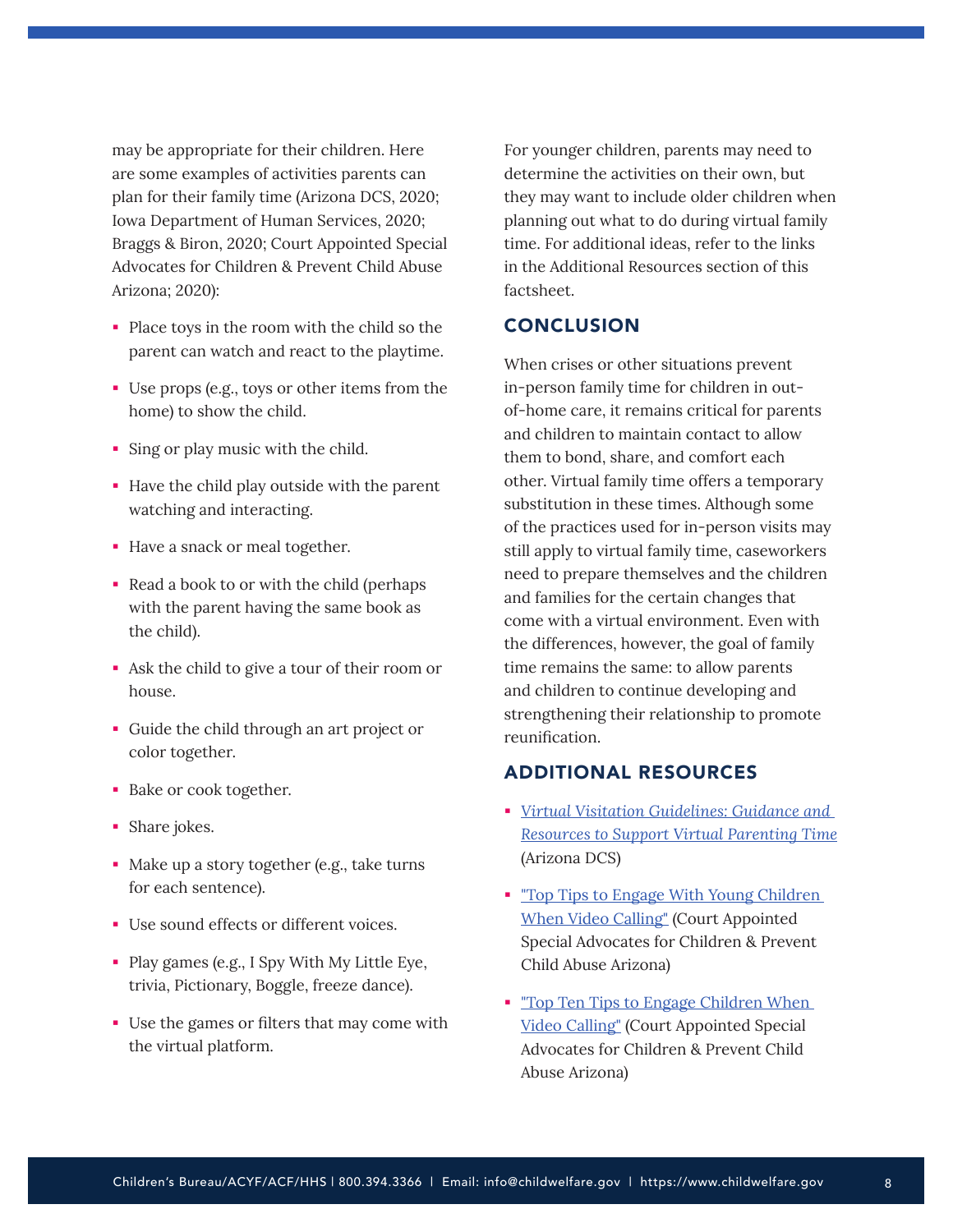<span id="page-7-0"></span>may be appropriate for their children. Here are some examples of activities parents can plan for their family time (Arizona DCS, 2020; Iowa Department of Human Services, 2020; Braggs & Biron, 2020; Court Appointed Special Advocates for Children & Prevent Child Abuse Arizona; 2020):

- Place toys in the room with the child so the parent can watch and react to the playtime.
- Use props (e.g., toys or other items from the home) to show the child.
- Sing or play music with the child.
- Have the child play outside with the parent watching and interacting.
- Have a snack or meal together.
- Read a book to or with the child (perhaps with the parent having the same book as the child).
- Ask the child to give a tour of their room or house.
- Guide the child through an art project or color together.
- **Bake or cook together.**
- Share jokes.
- Make up a story together (e.g., take turns for each sentence).
- Use sound effects or different voices.
- Play games (e.g., I Spy With My Little Eye, trivia, Pictionary, Boggle, freeze dance).
- Use the games or filters that may come with the virtual platform.

For younger children, parents may need to determine the activities on their own, but they may want to include older children when planning out what to do during virtual family time. For additional ideas, refer to the links in the Additional Resources section of this factsheet.

# **CONCLUSION**

When crises or other situations prevent in-person family time for children in outof-home care, it remains critical for parents and children to maintain contact to allow them to bond, share, and comfort each other. Virtual family time offers a temporary substitution in these times. Although some of the practices used for in-person visits may still apply to virtual family time, caseworkers need to prepare themselves and the children and families for the certain changes that come with a virtual environment. Even with the differences, however, the goal of family time remains the same: to allow parents and children to continue developing and strengthening their relationship to promote reunification.

# ADDITIONAL RESOURCES

- *[Virtual Visitation Guidelines: Guidance and](https://dcs.az.gov/sites/default/files/documents/files/CSO-2390-VirtualVisitationGuidelines.pdf) [Resources to Support Virtual Parenting Time](https://dcs.az.gov/sites/default/files/documents/files/CSO-2390-VirtualVisitationGuidelines.pdf)* (Arizona DCS)
- **Top Tips to Engage With Young Children** [When Video Calling"](https://dcs.az.gov/sites/default/files/documents/files/EngagingYoungChildreninVideoCalling.pdf) (Court Appointed Special Advocates for Children & Prevent Child Abuse Arizona)
- **Top Ten Tips to Engage Children When** [Video Calling"](https://dcs.az.gov/sites/default/files/documents/files/TenTipsforEngagingChildreninVideoCalling.pdf) (Court Appointed Special Advocates for Children & Prevent Child Abuse Arizona)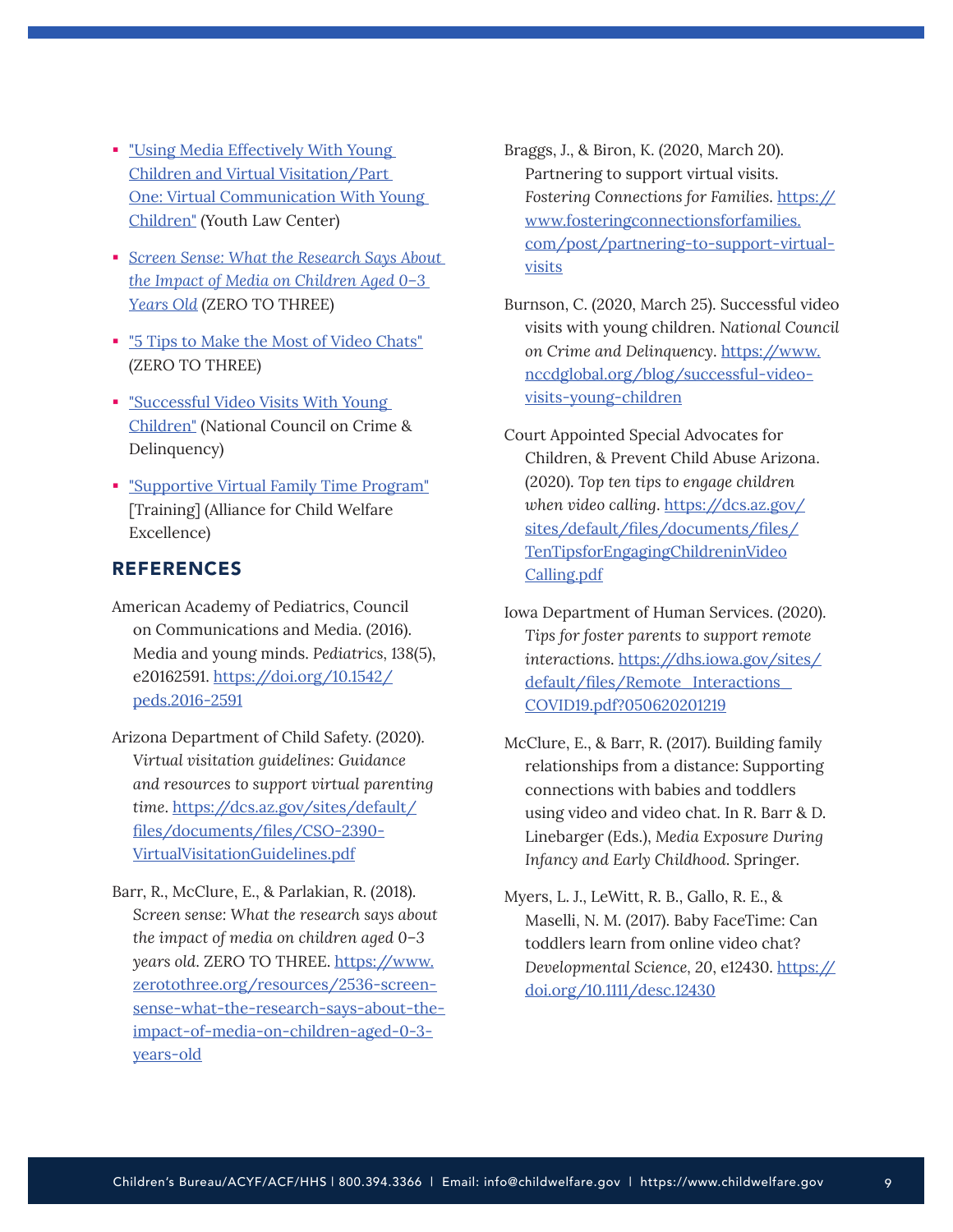- <span id="page-8-0"></span>**Using Media Effectively With Young** [Children and Virtual Visitation/Part](http://centervideo.forest.usf.edu/video/qpi/ylc/mediaeffect/qpistart.html) [One: Virtual Communication With Young](http://centervideo.forest.usf.edu/video/qpi/ylc/mediaeffect/qpistart.html) [Children"](http://centervideo.forest.usf.edu/video/qpi/ylc/mediaeffect/qpistart.html) (Youth Law Center)
- *[Screen Sense: What the Research Says About](https://www.zerotothree.org/resources/2536-screen-sense-what-the-research-says-about-the-impact-of-media-on-children-aged-0-3-years-old) [the Impact of Media on Children Aged 0–3](https://www.zerotothree.org/resources/2536-screen-sense-what-the-research-says-about-the-impact-of-media-on-children-aged-0-3-years-old) [Years Old](https://www.zerotothree.org/resources/2536-screen-sense-what-the-research-says-about-the-impact-of-media-on-children-aged-0-3-years-old)* (ZERO TO THREE)
- **Tips to Make the Most of Video Chats"** (ZERO TO THREE)
- **Example 1 Successful Video Visits With Young** [Children"](https://www.nccdglobal.org/blog/successful-video-visits-young-children) (National Council on Crime & Delinquency)
- ["Supportive Virtual Family Time Program"](https://allianceforchildwelfare.org/content/family-time-supportive-virtual-family-time-program-and-training-elearning) [Training] (Alliance for Child Welfare Excellence)

# REFERENCES

- American Academy of Pediatrics, Council on Communications and Media. (2016). Media and young minds. *Pediatrics, 138*(5), e20162591. [https://doi.org/10.1542/](https://doi.org/10.1542/peds.2016-2591) [peds.2016-2591](https://doi.org/10.1542/peds.2016-2591)
- Arizona Department of Child Safety. (2020). *Virtual visitation guidelines: Guidance and resources to support virtual parenting time*. [https://dcs.az.gov/sites/default/](https://dcs.az.gov/sites/default/files/documents/files/CSO-2390-VirtualVisitationGuidelines.pdf) [files/documents/files/CSO-2390-](https://dcs.az.gov/sites/default/files/documents/files/CSO-2390-VirtualVisitationGuidelines.pdf) [VirtualVisitationGuidelines.pdf](https://dcs.az.gov/sites/default/files/documents/files/CSO-2390-VirtualVisitationGuidelines.pdf)
- Barr, R., McClure, E., & Parlakian, R. (2018). *Screen sense: What the research says about the impact of media on children aged 0–3 years old*. ZERO TO THREE. [https://www.](https://www.zerotothree.org/resources/2536-screen-sense-what-the-research-says-about-the-impact-of-media-on-children-aged-0-3-years-old) [zerotothree.org/resources/2536-screen](https://www.zerotothree.org/resources/2536-screen-sense-what-the-research-says-about-the-impact-of-media-on-children-aged-0-3-years-old)[sense-what-the-research-says-about-the](https://www.zerotothree.org/resources/2536-screen-sense-what-the-research-says-about-the-impact-of-media-on-children-aged-0-3-years-old)[impact-of-media-on-children-aged-0-3](https://www.zerotothree.org/resources/2536-screen-sense-what-the-research-says-about-the-impact-of-media-on-children-aged-0-3-years-old) [years-old](https://www.zerotothree.org/resources/2536-screen-sense-what-the-research-says-about-the-impact-of-media-on-children-aged-0-3-years-old)
- Braggs, J., & Biron, K. (2020, March 20). Partnering to support virtual visits. *Fostering Connections for Families*. [https://](https://www.fosteringconnectionsforfamilies.com/post/partnering-to-support-virtual-visits) [www.fosteringconnectionsforfamilies.](https://www.fosteringconnectionsforfamilies.com/post/partnering-to-support-virtual-visits) [com/post/partnering-to-support-virtual](https://www.fosteringconnectionsforfamilies.com/post/partnering-to-support-virtual-visits)[visits](https://www.fosteringconnectionsforfamilies.com/post/partnering-to-support-virtual-visits)
- Burnson, C. (2020, March 25). Successful video visits with young children. *National Council on Crime and Delinquency*. [https://www.](https://www.nccdglobal.org/blog/successful-video-visits-young-children) [nccdglobal.org/blog/successful-video](https://www.nccdglobal.org/blog/successful-video-visits-young-children)[visits-young-children](https://www.nccdglobal.org/blog/successful-video-visits-young-children)
- Court Appointed Special Advocates for Children, & Prevent Child Abuse Arizona. (2020). *Top ten tips to engage children when video calling*. [https://dcs.az.gov/](https://dcs.az.gov/sites/default/files/documents/files/TenTipsforEngagingChildreninVideoCalling.pdf) [sites/default/files/documents/files/](https://dcs.az.gov/sites/default/files/documents/files/TenTipsforEngagingChildreninVideoCalling.pdf) [TenTipsforEngagingChildreninVideo](https://dcs.az.gov/sites/default/files/documents/files/TenTipsforEngagingChildreninVideoCalling.pdf) [Calling.pdf](https://dcs.az.gov/sites/default/files/documents/files/TenTipsforEngagingChildreninVideoCalling.pdf)
- Iowa Department of Human Services. (2020). *Tips for foster parents to support remote interactions*. [https://dhs.iowa.gov/sites/](https://dhs.iowa.gov/sites/default/files/Remote_Interactions_COVID19.pdf?050620201219) [default/files/Remote\\_Interactions\\_](https://dhs.iowa.gov/sites/default/files/Remote_Interactions_COVID19.pdf?050620201219) [COVID19.pdf?050620201219](https://dhs.iowa.gov/sites/default/files/Remote_Interactions_COVID19.pdf?050620201219)
- McClure, E., & Barr, R. (2017). Building family relationships from a distance: Supporting connections with babies and toddlers using video and video chat. In R. Barr & D. Linebarger (Eds.), *Media Exposure During Infancy and Early Childhood*. Springer.
- Myers, L. J., LeWitt, R. B., Gallo, R. E., & Maselli, N. M. (2017). Baby FaceTime: Can toddlers learn from online video chat? *Developmental Science, 20*, e12430. [https://](https://doi.org/10.1111/desc.12430) [doi.org/10.1111/desc.12430](https://doi.org/10.1111/desc.12430)